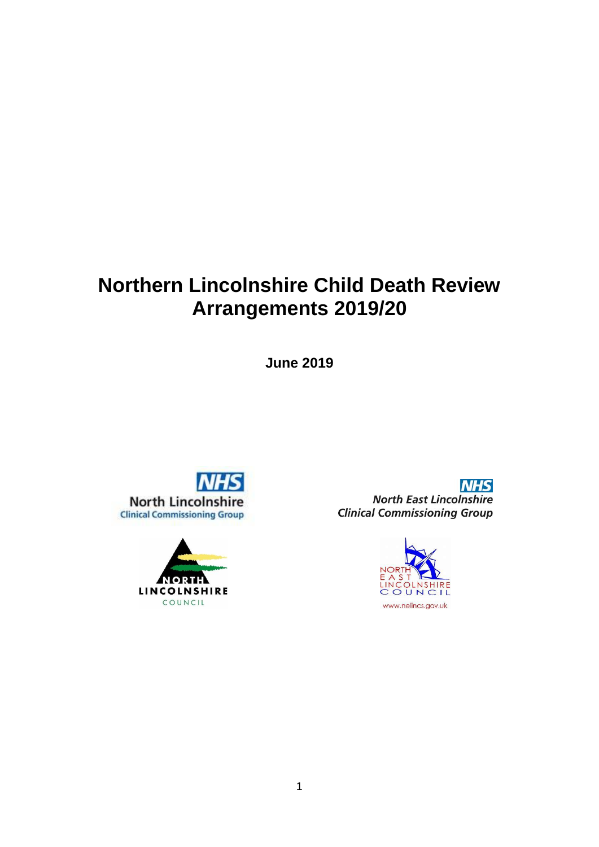# **Northern Lincolnshire Child Death Review Arrangements 2019/20**

**June 2019**





**NHS North East Lincolnshire Clinical Commissioning Group** 

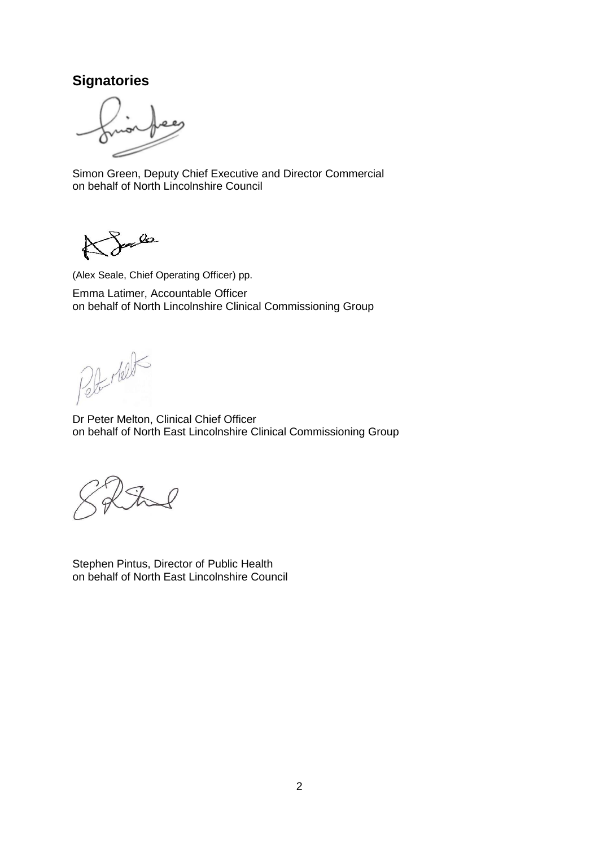# **Signatories**

Simon Green, Deputy Chief Executive and Director Commercial on behalf of North Lincolnshire Council

Sale Ł

(Alex Seale, Chief Operating Officer) pp. Emma Latimer, Accountable Officer

on behalf of North Lincolnshire Clinical Commissioning Group

Peter relation

Dr Peter Melton, Clinical Chief Officer on behalf of North East Lincolnshire Clinical Commissioning Group

Stephen Pintus, Director of Public Health on behalf of North East Lincolnshire Council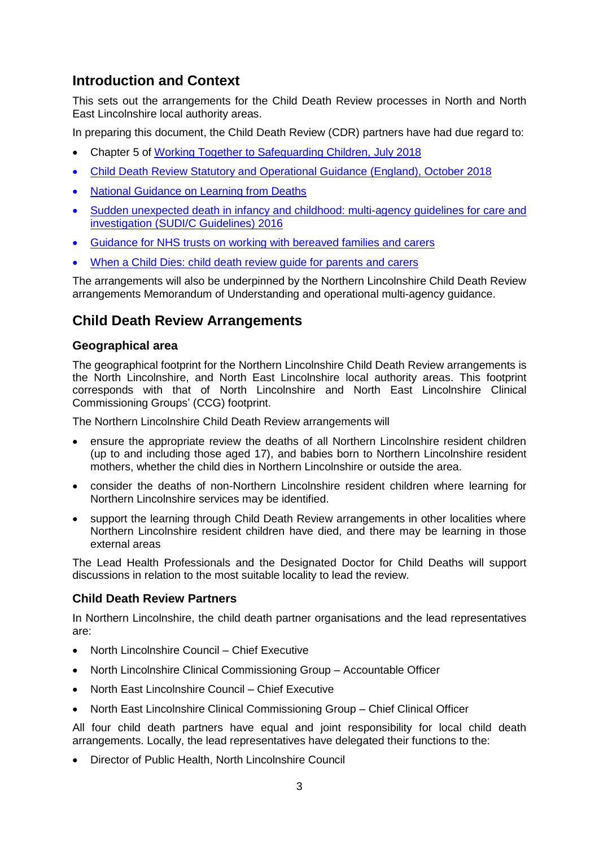# **Introduction and Context**

This sets out the arrangements for the Child Death Review processes in North and North East Lincolnshire local authority areas.

In preparing this document, the Child Death Review (CDR) partners have had due regard to:

- Chapter 5 of [Working Together to Safeguarding Children, July 2018](https://assets.publishing.service.gov.uk/government/uploads/system/uploads/attachment_data/file/779401/Working_Together_to_Safeguard-Children.pdf)
- [Child Death Review Statutory and Operational Guidance \(England\), October 2018](https://assets.publishing.service.gov.uk/government/uploads/system/uploads/attachment_data/file/777955/Child_death_review_statutory_and_operational_guidance_England.pdf)
- [National Guidance on Learning from Deaths](https://www.england.nhs.uk/wp-content/uploads/2017/03/nqb-national-guidance-learning-from-deaths.pdf)
- [Sudden unexpected death in infancy and childhood: multi-agency guidelines for care and](https://www.rcpath.org/uploads/assets/874ae50e-c754-4933-995a804e0ef728a4/sudden-unexpected-death-in-infancy-and-childhood-2e.pdf)  [investigation \(SUDI/C Guidelines\) 2016](https://www.rcpath.org/uploads/assets/874ae50e-c754-4933-995a804e0ef728a4/sudden-unexpected-death-in-infancy-and-childhood-2e.pdf)
- [Guidance for NHS trusts on working with bereaved families and carers](https://www.england.nhs.uk/wp-content/uploads/2017/03/nqb-national-guidance-learning-from-deaths.pdf)
- [When a Child Dies: child death review guide for parents](https://www.england.nhs.uk/wp-content/uploads/2018/07/parent-leaflet-child-death-review-v2.pdf) and carers

The arrangements will also be underpinned by the Northern Lincolnshire Child Death Review arrangements Memorandum of Understanding and operational multi-agency guidance.

# **Child Death Review Arrangements**

### **Geographical area**

The geographical footprint for the Northern Lincolnshire Child Death Review arrangements is the North Lincolnshire, and North East Lincolnshire local authority areas. This footprint corresponds with that of North Lincolnshire and North East Lincolnshire Clinical Commissioning Groups' (CCG) footprint.

The Northern Lincolnshire Child Death Review arrangements will

- ensure the appropriate review the deaths of all Northern Lincolnshire resident children (up to and including those aged 17), and babies born to Northern Lincolnshire resident mothers, whether the child dies in Northern Lincolnshire or outside the area.
- consider the deaths of non-Northern Lincolnshire resident children where learning for Northern Lincolnshire services may be identified.
- support the learning through Child Death Review arrangements in other localities where Northern Lincolnshire resident children have died, and there may be learning in those external areas

The Lead Health Professionals and the Designated Doctor for Child Deaths will support discussions in relation to the most suitable locality to lead the review.

## **Child Death Review Partners**

In Northern Lincolnshire, the child death partner organisations and the lead representatives are:

- North Lincolnshire Council Chief Executive
- North Lincolnshire Clinical Commissioning Group Accountable Officer
- North East Lincolnshire Council Chief Executive
- North East Lincolnshire Clinical Commissioning Group Chief Clinical Officer

All four child death partners have equal and joint responsibility for local child death arrangements. Locally, the lead representatives have delegated their functions to the:

Director of Public Health, North Lincolnshire Council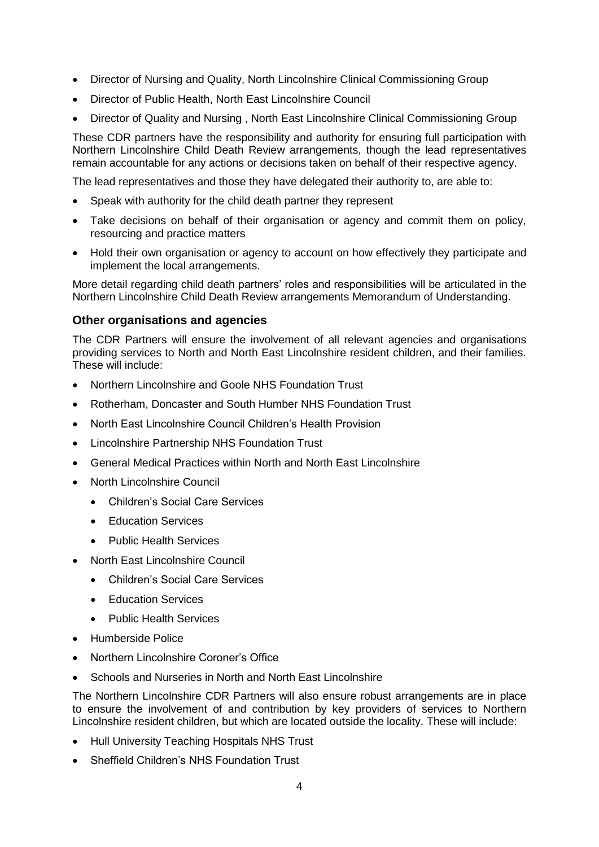- Director of Nursing and Quality, North Lincolnshire Clinical Commissioning Group
- Director of Public Health, North East Lincolnshire Council
- Director of Quality and Nursing , North East Lincolnshire Clinical Commissioning Group

These CDR partners have the responsibility and authority for ensuring full participation with Northern Lincolnshire Child Death Review arrangements, though the lead representatives remain accountable for any actions or decisions taken on behalf of their respective agency.

The lead representatives and those they have delegated their authority to, are able to:

- Speak with authority for the child death partner they represent
- Take decisions on behalf of their organisation or agency and commit them on policy, resourcing and practice matters
- Hold their own organisation or agency to account on how effectively they participate and implement the local arrangements.

More detail regarding child death partners' roles and responsibilities will be articulated in the Northern Lincolnshire Child Death Review arrangements Memorandum of Understanding.

#### **Other organisations and agencies**

The CDR Partners will ensure the involvement of all relevant agencies and organisations providing services to North and North East Lincolnshire resident children, and their families. These will include:

- Northern Lincolnshire and Goole NHS Foundation Trust
- Rotherham, Doncaster and South Humber NHS Foundation Trust
- North East Lincolnshire Council Children's Health Provision
- Lincolnshire Partnership NHS Foundation Trust
- General Medical Practices within North and North East Lincolnshire
- North Lincolnshire Council
	- Children's Social Care Services
	- Education Services
	- Public Health Services
- North East Lincolnshire Council
	- Children's Social Care Services
	- Education Services
	- Public Health Services
- Humberside Police
- Northern Lincolnshire Coroner's Office
- Schools and Nurseries in North and North East Lincolnshire

The Northern Lincolnshire CDR Partners will also ensure robust arrangements are in place to ensure the involvement of and contribution by key providers of services to Northern Lincolnshire resident children, but which are located outside the locality. These will include:

- Hull University Teaching Hospitals NHS Trust
- Sheffield Children's NHS Foundation Trust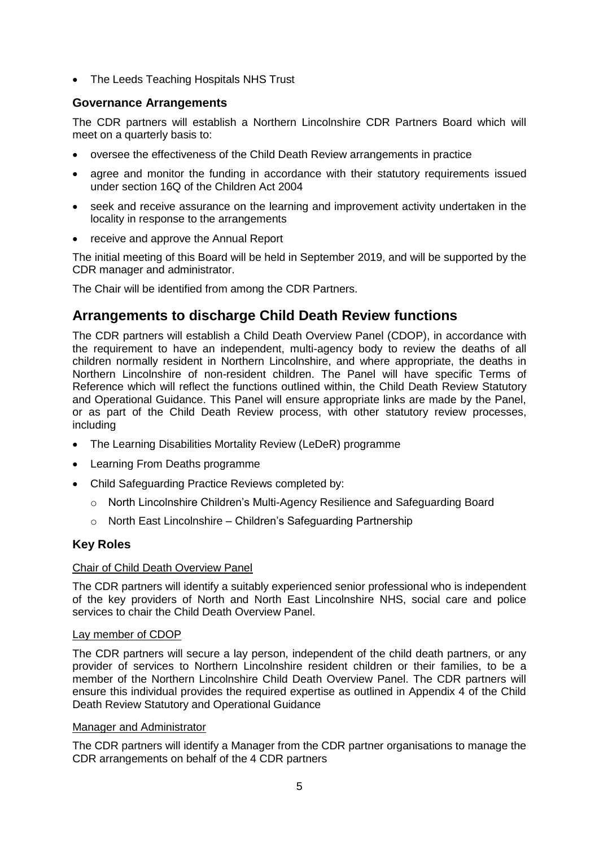• The Leeds Teaching Hospitals NHS Trust

## **Governance Arrangements**

The CDR partners will establish a Northern Lincolnshire CDR Partners Board which will meet on a quarterly basis to:

- oversee the effectiveness of the Child Death Review arrangements in practice
- agree and monitor the funding in accordance with their statutory requirements issued under section 16Q of the Children Act 2004
- seek and receive assurance on the learning and improvement activity undertaken in the locality in response to the arrangements
- receive and approve the Annual Report

The initial meeting of this Board will be held in September 2019, and will be supported by the CDR manager and administrator.

The Chair will be identified from among the CDR Partners.

# **Arrangements to discharge Child Death Review functions**

The CDR partners will establish a Child Death Overview Panel (CDOP), in accordance with the requirement to have an independent, multi-agency body to review the deaths of all children normally resident in Northern Lincolnshire, and where appropriate, the deaths in Northern Lincolnshire of non-resident children. The Panel will have specific Terms of Reference which will reflect the functions outlined within, the Child Death Review Statutory and Operational Guidance. This Panel will ensure appropriate links are made by the Panel, or as part of the Child Death Review process, with other statutory review processes, including

- The Learning Disabilities Mortality Review (LeDeR) programme
- Learning From Deaths programme
- Child Safeguarding Practice Reviews completed by:
	- o North Lincolnshire Children's Multi-Agency Resilience and Safeguarding Board
	- o North East Lincolnshire Children's Safeguarding Partnership

## **Key Roles**

#### Chair of Child Death Overview Panel

The CDR partners will identify a suitably experienced senior professional who is independent of the key providers of North and North East Lincolnshire NHS, social care and police services to chair the Child Death Overview Panel.

#### Lay member of CDOP

The CDR partners will secure a lay person, independent of the child death partners, or any provider of services to Northern Lincolnshire resident children or their families, to be a member of the Northern Lincolnshire Child Death Overview Panel. The CDR partners will ensure this individual provides the required expertise as outlined in Appendix 4 of the Child Death Review Statutory and Operational Guidance

#### Manager and Administrator

The CDR partners will identify a Manager from the CDR partner organisations to manage the CDR arrangements on behalf of the 4 CDR partners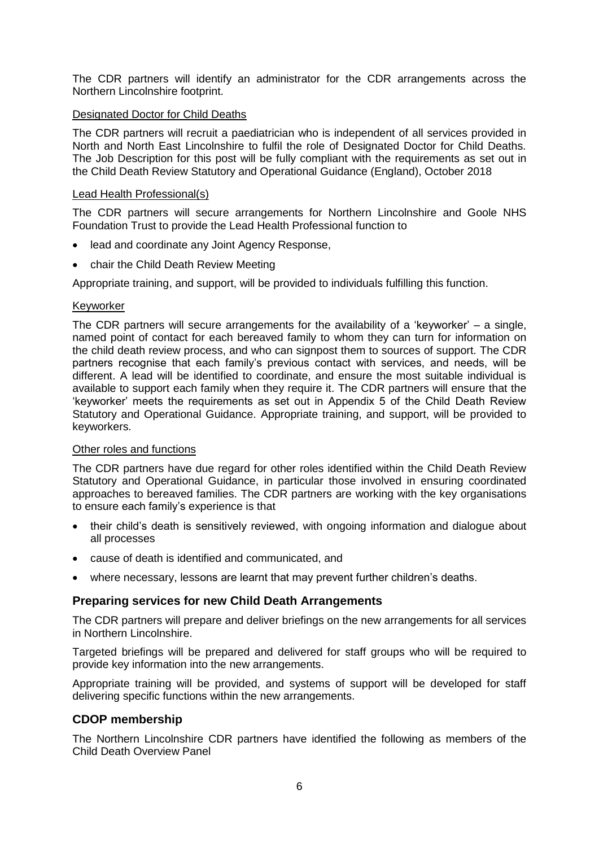The CDR partners will identify an administrator for the CDR arrangements across the Northern Lincolnshire footprint.

#### Designated Doctor for Child Deaths

The CDR partners will recruit a paediatrician who is independent of all services provided in North and North East Lincolnshire to fulfil the role of Designated Doctor for Child Deaths. The Job Description for this post will be fully compliant with the requirements as set out in the Child Death Review Statutory and Operational Guidance (England), October 2018

#### Lead Health Professional(s)

The CDR partners will secure arrangements for Northern Lincolnshire and Goole NHS Foundation Trust to provide the Lead Health Professional function to

- lead and coordinate any Joint Agency Response,
- chair the Child Death Review Meeting

Appropriate training, and support, will be provided to individuals fulfilling this function.

#### Keyworker

The CDR partners will secure arrangements for the availability of a 'keyworker' – a single, named point of contact for each bereaved family to whom they can turn for information on the child death review process, and who can signpost them to sources of support. The CDR partners recognise that each family's previous contact with services, and needs, will be different. A lead will be identified to coordinate, and ensure the most suitable individual is available to support each family when they require it. The CDR partners will ensure that the 'keyworker' meets the requirements as set out in Appendix 5 of the Child Death Review Statutory and Operational Guidance. Appropriate training, and support, will be provided to keyworkers.

#### Other roles and functions

The CDR partners have due regard for other roles identified within the Child Death Review Statutory and Operational Guidance, in particular those involved in ensuring coordinated approaches to bereaved families. The CDR partners are working with the key organisations to ensure each family's experience is that

- their child's death is sensitively reviewed, with ongoing information and dialogue about all processes
- cause of death is identified and communicated, and
- where necessary, lessons are learnt that may prevent further children's deaths.

#### **Preparing services for new Child Death Arrangements**

The CDR partners will prepare and deliver briefings on the new arrangements for all services in Northern Lincolnshire.

Targeted briefings will be prepared and delivered for staff groups who will be required to provide key information into the new arrangements.

Appropriate training will be provided, and systems of support will be developed for staff delivering specific functions within the new arrangements.

#### **CDOP membership**

The Northern Lincolnshire CDR partners have identified the following as members of the Child Death Overview Panel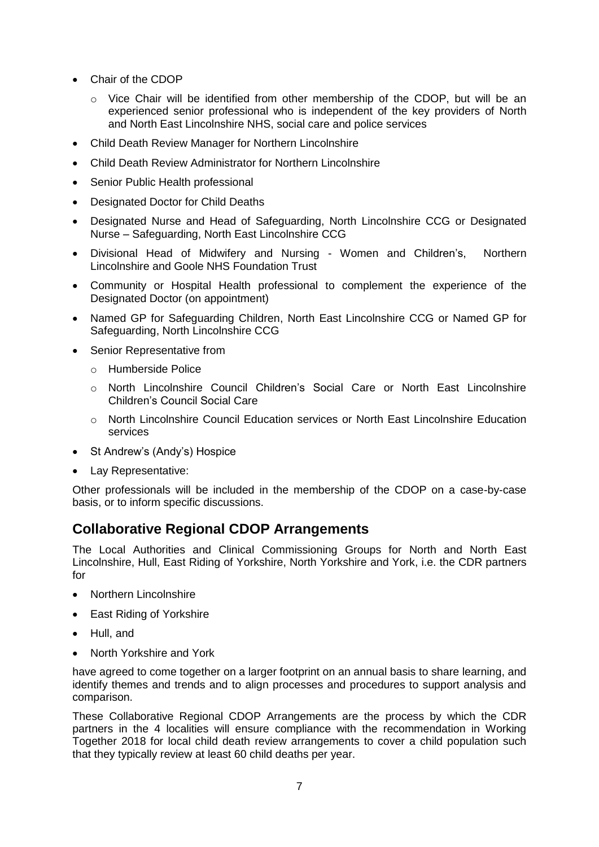- Chair of the CDOP
	- $\circ$  Vice Chair will be identified from other membership of the CDOP, but will be an experienced senior professional who is independent of the key providers of North and North East Lincolnshire NHS, social care and police services
- Child Death Review Manager for Northern Lincolnshire
- Child Death Review Administrator for Northern Lincolnshire
- Senior Public Health professional
- Designated Doctor for Child Deaths
- Designated Nurse and Head of Safeguarding, North Lincolnshire CCG or Designated Nurse – Safeguarding, North East Lincolnshire CCG
- Divisional Head of Midwifery and Nursing Women and Children's, Northern Lincolnshire and Goole NHS Foundation Trust
- Community or Hospital Health professional to complement the experience of the Designated Doctor (on appointment)
- Named GP for Safeguarding Children, North East Lincolnshire CCG or Named GP for Safeguarding, North Lincolnshire CCG
- Senior Representative from
	- o Humberside Police
	- o North Lincolnshire Council Children's Social Care or North East Lincolnshire Children's Council Social Care
	- o North Lincolnshire Council Education services or North East Lincolnshire Education services
- St Andrew's (Andy's) Hospice
- Lay Representative:

Other professionals will be included in the membership of the CDOP on a case-by-case basis, or to inform specific discussions.

# **Collaborative Regional CDOP Arrangements**

The Local Authorities and Clinical Commissioning Groups for North and North East Lincolnshire, Hull, East Riding of Yorkshire, North Yorkshire and York, i.e. the CDR partners for

- Northern Lincolnshire
- East Riding of Yorkshire
- Hull, and
- North Yorkshire and York

have agreed to come together on a larger footprint on an annual basis to share learning, and identify themes and trends and to align processes and procedures to support analysis and comparison.

These Collaborative Regional CDOP Arrangements are the process by which the CDR partners in the 4 localities will ensure compliance with the recommendation in Working Together 2018 for local child death review arrangements to cover a child population such that they typically review at least 60 child deaths per year.